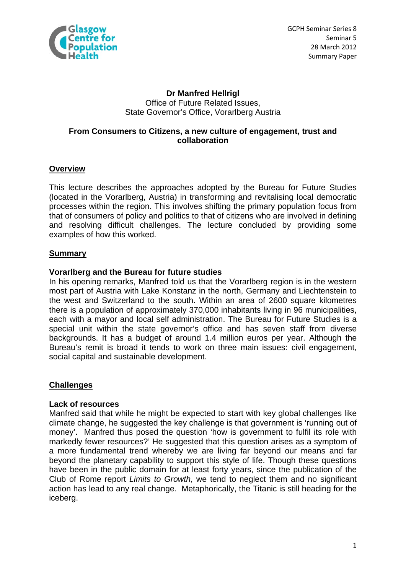

## **Dr Manfred Hellrigl**  Office of Future Related Issues, State Governor's Office, Vorarlberg Austria

# **From Consumers to Citizens, a new culture of engagement, trust and collaboration**

## **Overview**

This lecture describes the approaches adopted by the Bureau for Future Studies (located in the Vorarlberg, Austria) in transforming and revitalising local democratic processes within the region. This involves shifting the primary population focus from that of consumers of policy and politics to that of citizens who are involved in defining and resolving difficult challenges. The lecture concluded by providing some examples of how this worked.

# **Summary**

## **Vorarlberg and the Bureau for future studies**

In his opening remarks, Manfred told us that the Vorarlberg region is in the western most part of Austria with Lake Konstanz in the north, Germany and Liechtenstein to the west and Switzerland to the south. Within an area of 2600 square kilometres there is a population of approximately 370,000 inhabitants living in 96 municipalities, each with a mayor and local self administration. The Bureau for Future Studies is a special unit within the state governor's office and has seven staff from diverse backgrounds. It has a budget of around 1.4 million euros per year. Although the Bureau's remit is broad it tends to work on three main issues: civil engagement, social capital and sustainable development.

## **Challenges**

## **Lack of resources**

Manfred said that while he might be expected to start with key global challenges like climate change, he suggested the key challenge is that government is 'running out of money'. Manfred thus posed the question 'how is government to fulfil its role with markedly fewer resources?' He suggested that this question arises as a symptom of a more fundamental trend whereby we are living far beyond our means and far beyond the planetary capability to support this style of life. Though these questions have been in the public domain for at least forty years, since the publication of the Club of Rome report *Limits to Growth*, we tend to neglect them and no significant action has lead to any real change. Metaphorically, the Titanic is still heading for the iceberg.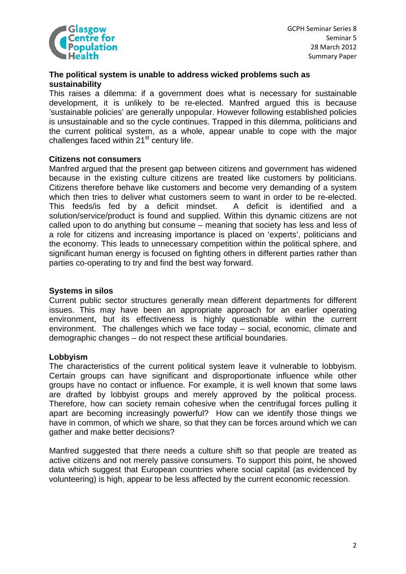

### **The political system is unable to address wicked problems such as sustainability**

This raises a dilemma: if a government does what is necessary for sustainable development, it is unlikely to be re-elected. Manfred argued this is because 'sustainable policies' are generally unpopular. However following established policies is unsustainable and so the cycle continues. Trapped in this dilemma, politicians and the current political system, as a whole, appear unable to cope with the major challenges faced within  $21<sup>st</sup>$  century life.

#### **Citizens not consumers**

Manfred argued that the present gap between citizens and government has widened because in the existing culture citizens are treated like customers by politicians. Citizens therefore behave like customers and become very demanding of a system which then tries to deliver what customers seem to want in order to be re-elected. This feeds/is fed by a deficit mindset. A deficit is identified and a solution/service/product is found and supplied. Within this dynamic citizens are not called upon to do anything but consume – meaning that society has less and less of a role for citizens and increasing importance is placed on 'experts', politicians and the economy. This leads to unnecessary competition within the political sphere, and significant human energy is focused on fighting others in different parties rather than parties co-operating to try and find the best way forward.

### **Systems in silos**

Current public sector structures generally mean different departments for different issues. This may have been an appropriate approach for an earlier operating environment, but its effectiveness is highly questionable within the current environment. The challenges which we face today – social, economic, climate and demographic changes – do not respect these artificial boundaries.

## **Lobbyism**

The characteristics of the current political system leave it vulnerable to lobbyism. Certain groups can have significant and disproportionate influence while other groups have no contact or influence. For example, it is well known that some laws are drafted by lobbyist groups and merely approved by the political process. Therefore, how can society remain cohesive when the centrifugal forces pulling it apart are becoming increasingly powerful? How can we identify those things we have in common, of which we share, so that they can be forces around which we can gather and make better decisions?

Manfred suggested that there needs a culture shift so that people are treated as active citizens and not merely passive consumers. To support this point, he showed data which suggest that European countries where social capital (as evidenced by volunteering) is high, appear to be less affected by the current economic recession.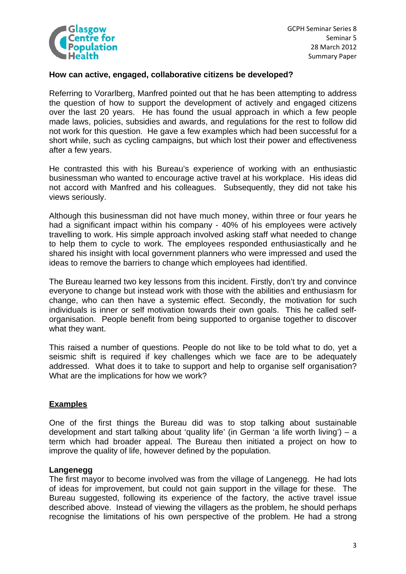

GCPH Seminar Series 8 Seminar 5 28 March 2012 Summary Paper

## **How can active, engaged, collaborative citizens be developed?**

Referring to Vorarlberg, Manfred pointed out that he has been attempting to address the question of how to support the development of actively and engaged citizens over the last 20 years. He has found the usual approach in which a few people made laws, policies, subsidies and awards, and regulations for the rest to follow did not work for this question. He gave a few examples which had been successful for a short while, such as cycling campaigns, but which lost their power and effectiveness after a few years.

He contrasted this with his Bureau's experience of working with an enthusiastic businessman who wanted to encourage active travel at his workplace. His ideas did not accord with Manfred and his colleagues. Subsequently, they did not take his views seriously.

Although this businessman did not have much money, within three or four years he had a significant impact within his company - 40% of his employees were actively travelling to work. His simple approach involved asking staff what needed to change to help them to cycle to work. The employees responded enthusiastically and he shared his insight with local government planners who were impressed and used the ideas to remove the barriers to change which employees had identified.

The Bureau learned two key lessons from this incident. Firstly, don't try and convince everyone to change but instead work with those with the abilities and enthusiasm for change, who can then have a systemic effect. Secondly, the motivation for such individuals is inner or self motivation towards their own goals. This he called selforganisation. People benefit from being supported to organise together to discover what they want.

This raised a number of questions. People do not like to be told what to do, yet a seismic shift is required if key challenges which we face are to be adequately addressed. What does it to take to support and help to organise self organisation? What are the implications for how we work?

## **Examples**

One of the first things the Bureau did was to stop talking about sustainable development and start talking about 'quality life' (in German 'a life worth living') – a term which had broader appeal. The Bureau then initiated a project on how to improve the quality of life, however defined by the population.

## **Langenegg**

The first mayor to become involved was from the village of Langenegg. He had lots of ideas for improvement, but could not gain support in the village for these. The Bureau suggested, following its experience of the factory, the active travel issue described above. Instead of viewing the villagers as the problem, he should perhaps recognise the limitations of his own perspective of the problem. He had a strong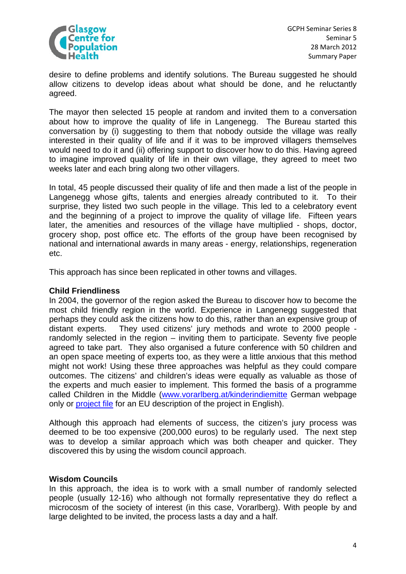

desire to define problems and identify solutions. The Bureau suggested he should allow citizens to develop ideas about what should be done, and he reluctantly agreed.

The mayor then selected 15 people at random and invited them to a conversation about how to improve the quality of life in Langenegg. The Bureau started this conversation by (i) suggesting to them that nobody outside the village was really interested in their quality of life and if it was to be improved villagers themselves would need to do it and (ii) offering support to discover how to do this. Having agreed to imagine improved quality of life in their own village, they agreed to meet two weeks later and each bring along two other villagers.

In total, 45 people discussed their quality of life and then made a list of the people in Langenegg whose gifts, talents and energies already contributed to it. To their surprise, they listed two such people in the village. This led to a celebratory event and the beginning of a project to improve the quality of village life. Fifteen years later, the amenities and resources of the village have multiplied - shops, doctor, grocery shop, post office etc. The efforts of the group have been recognised by national and international awards in many areas - energy, relationships, regeneration etc.

This approach has since been replicated in other towns and villages.

### **Child Friendliness**

In 2004, the governor of the region asked the Bureau to discover how to become the most child friendly region in the world. Experience in Langenegg suggested that perhaps they could ask the citizens how to do this, rather than an expensive group of distant experts. They used citizens' jury methods and wrote to 2000 people randomly selected in the region – inviting them to participate. Seventy five people agreed to take part. They also organised a future conference with 50 children and an open space meeting of experts too, as they were a little anxious that this method might not work! Using these three approaches was helpful as they could compare outcomes. The citizens' and children's ideas were equally as valuable as those of the experts and much easier to implement. This formed the basis of a programme called Children in the Middle [\(www.vorarlberg.at/kinderindiemitte](http://www.vorarlberg.at/kinderindiemitte) German webpage only or [project file](http://create2009.europa.eu/fileadmin/Content/Downloads/PDF/Projects/National_projects/AT_Children_in_the_middle.pdf) for an EU description of the project in English).

Although this approach had elements of success, the citizen's jury process was deemed to be too expensive (200,000 euros) to be regularly used. The next step was to develop a similar approach which was both cheaper and quicker. They discovered this by using the wisdom council approach.

#### **Wisdom Councils**

In this approach, the idea is to work with a small number of randomly selected people (usually 12-16) who although not formally representative they do reflect a microcosm of the society of interest (in this case, Vorarlberg). With people by and large delighted to be invited, the process lasts a day and a half.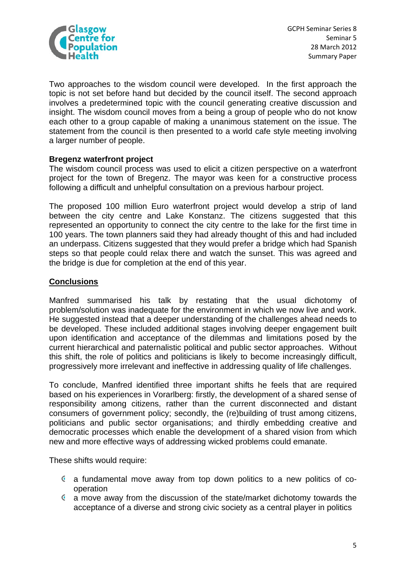

Two approaches to the wisdom council were developed. In the first approach the topic is not set before hand but decided by the council itself. The second approach involves a predetermined topic with the council generating creative discussion and insight. The wisdom council moves from a being a group of people who do not know each other to a group capable of making a unanimous statement on the issue. The statement from the council is then presented to a world cafe style meeting involving a larger number of people.

## **Bregenz waterfront project**

The wisdom council process was used to elicit a citizen perspective on a waterfront project for the town of Bregenz. The mayor was keen for a constructive process following a difficult and unhelpful consultation on a previous harbour project.

The proposed 100 million Euro waterfront project would develop a strip of land between the city centre and Lake Konstanz. The citizens suggested that this represented an opportunity to connect the city centre to the lake for the first time in 100 years. The town planners said they had already thought of this and had included an underpass. Citizens suggested that they would prefer a bridge which had Spanish steps so that people could relax there and watch the sunset. This was agreed and the bridge is due for completion at the end of this year.

# **Conclusions**

Manfred summarised his talk by restating that the usual dichotomy of problem/solution was inadequate for the environment in which we now live and work. He suggested instead that a deeper understanding of the challenges ahead needs to be developed. These included additional stages involving deeper engagement built upon identification and acceptance of the dilemmas and limitations posed by the current hierarchical and paternalistic political and public sector approaches. Without this shift, the role of politics and politicians is likely to become increasingly difficult, progressively more irrelevant and ineffective in addressing quality of life challenges.

To conclude, Manfred identified three important shifts he feels that are required based on his experiences in Vorarlberg: firstly, the development of a shared sense of responsibility among citizens, rather than the current disconnected and distant consumers of government policy; secondly, the (re)building of trust among citizens, politicians and public sector organisations; and thirdly embedding creative and democratic processes which enable the development of a shared vision from which new and more effective ways of addressing wicked problems could emanate.

These shifts would require:

- a fundamental move away from top down politics to a new politics of cooperation
- a move away from the discussion of the state/market dichotomy towards the acceptance of a diverse and strong civic society as a central player in politics